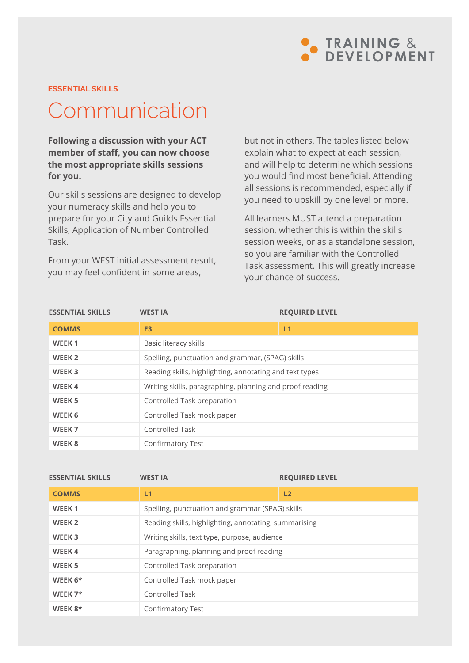

### **ESSENTIAL SKILLS**

# Communication

**Following a discussion with your ACT member of staff, you can now choose the most appropriate skills sessions for you.** 

Our skills sessions are designed to develop your numeracy skills and help you to prepare for your City and Guilds Essential Skills, Application of Number Controlled Task.

From your WEST initial assessment result, you may feel confident in some areas,

but not in others. The tables listed below explain what to expect at each session, and will help to determine which sessions you would find most beneficial. Attending all sessions is recommended, especially if you need to upskill by one level or more.

All learners MUST attend a preparation session, whether this is within the skills session weeks, or as a standalone session, so you are familiar with the Controlled Task assessment. This will greatly increase your chance of success.

| <b>ESSENTIAL SKILLS</b> | <b>WEST IA</b>                                           | <b>REQUIRED LEVEL</b> |  |  |  |  |
|-------------------------|----------------------------------------------------------|-----------------------|--|--|--|--|
| <b>COMMS</b>            | E <sub>3</sub>                                           | L1                    |  |  |  |  |
| WEEK <sub>1</sub>       | Basic literacy skills                                    |                       |  |  |  |  |
| WEEK <sub>2</sub>       | Spelling, punctuation and grammar, (SPAG) skills         |                       |  |  |  |  |
| WEEK <sub>3</sub>       | Reading skills, highlighting, annotating and text types  |                       |  |  |  |  |
| <b>WEEK4</b>            | Writing skills, paragraphing, planning and proof reading |                       |  |  |  |  |
| <b>WEEK5</b>            | Controlled Task preparation                              |                       |  |  |  |  |
| WEEK 6                  | Controlled Task mock paper                               |                       |  |  |  |  |
| WEEK <sub>7</sub>       | <b>Controlled Task</b>                                   |                       |  |  |  |  |
| WEEK <sub>8</sub>       | Confirmatory Test                                        |                       |  |  |  |  |

| <b>ESSENTIAL SKILLS</b> | <b>WEST IA</b>                                        | <b>REQUIRED LEVEL</b> |  |  |  |
|-------------------------|-------------------------------------------------------|-----------------------|--|--|--|
| <b>COMMS</b>            | L1                                                    | L2                    |  |  |  |
| WEEK <sub>1</sub>       | Spelling, punctuation and grammar (SPAG) skills       |                       |  |  |  |
| WEEK <sub>2</sub>       | Reading skills, highlighting, annotating, summarising |                       |  |  |  |
| WEEK <sub>3</sub>       | Writing skills, text type, purpose, audience          |                       |  |  |  |
| <b>WEEK4</b>            | Paragraphing, planning and proof reading              |                       |  |  |  |
| WEEK <sub>5</sub>       | Controlled Task preparation                           |                       |  |  |  |
| WEEK $6*$               | Controlled Task mock paper                            |                       |  |  |  |
| WEEK $7*$               | Controlled Task                                       |                       |  |  |  |
| WEEK $8*$               | <b>Confirmatory Test</b>                              |                       |  |  |  |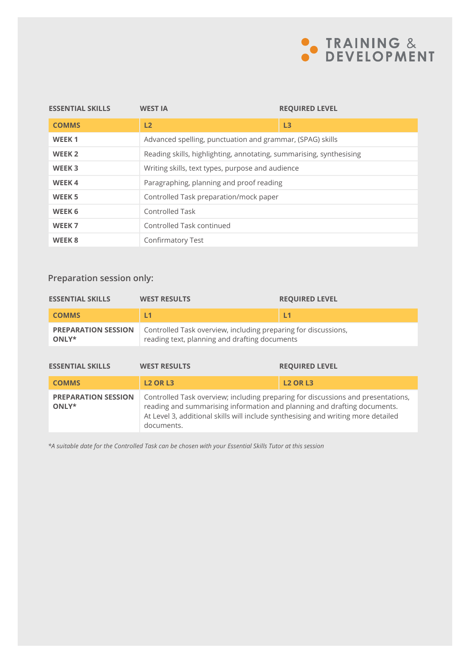

| <b>ESSENTIAL SKILLS</b> | <b>WEST IA</b>                                                      | <b>REQUIRED LEVEL</b>                                     |  |  |  |  |
|-------------------------|---------------------------------------------------------------------|-----------------------------------------------------------|--|--|--|--|
| <b>COMMS</b>            | L2                                                                  | L3                                                        |  |  |  |  |
| WEEK <sub>1</sub>       |                                                                     | Advanced spelling, punctuation and grammar, (SPAG) skills |  |  |  |  |
| WEEK <sub>2</sub>       | Reading skills, highlighting, annotating, summarising, synthesising |                                                           |  |  |  |  |
| WEEK <sub>3</sub>       | Writing skills, text types, purpose and audience                    |                                                           |  |  |  |  |
| <b>WEEK4</b>            | Paragraphing, planning and proof reading                            |                                                           |  |  |  |  |
| WEEK <sub>5</sub>       | Controlled Task preparation/mock paper                              |                                                           |  |  |  |  |
| WEEK 6                  | Controlled Task                                                     |                                                           |  |  |  |  |
| WEEK <sub>7</sub>       | Controlled Task continued                                           |                                                           |  |  |  |  |
| WEEK <sub>8</sub>       | Confirmatory Test                                                   |                                                           |  |  |  |  |

### **Preparation session only:**

| <b>ESSENTIAL SKILLS</b>             | <b>WEST RESULTS</b>                                                                                             | <b>REQUIRED LEVEL</b> |  |  |  |  |
|-------------------------------------|-----------------------------------------------------------------------------------------------------------------|-----------------------|--|--|--|--|
| <b>COMMS</b>                        | L1                                                                                                              | L <sub>1</sub>        |  |  |  |  |
| <b>PREPARATION SESSION</b><br>ONLY* | Controlled Task overview, including preparing for discussions,<br>reading text, planning and drafting documents |                       |  |  |  |  |
|                                     |                                                                                                                 |                       |  |  |  |  |
| <b>ESSENTIAL SKILLS</b>             | <b>WEST RESULTS</b>                                                                                             | <b>REQUIRED LEVEL</b> |  |  |  |  |
| <b>COMMS</b>                        | <b>L2 OR L3</b>                                                                                                 | <b>L2 OR L3</b>       |  |  |  |  |

*\*A suitable date for the Controlled Task can be chosen with your Essential Skills Tutor at this session*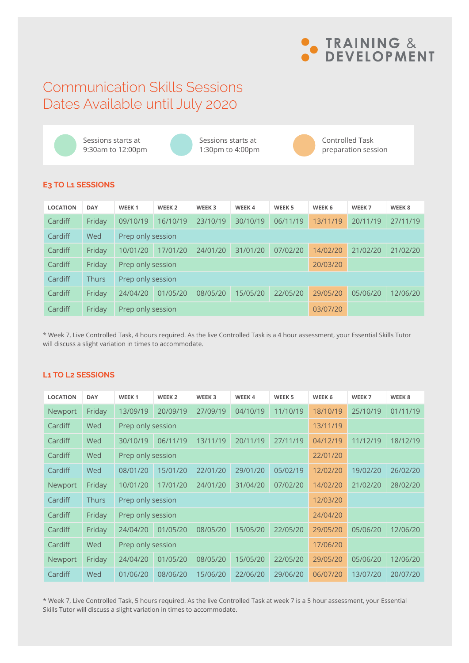

### Communication Skills Sessions Dates Available until July 2020

Sessions starts at 9:30am to 12:00pm

Sessions starts at 1:30pm to 4:00pm



Controlled Task preparation session

### **E3 TO L1 SESSIONS**

| <b>LOCATION</b> | <b>DAY</b>   | WEEK <sub>1</sub> | WEEK <sub>2</sub>             | WEEK <sub>3</sub> | WEEK 4   | WEEK <sub>5</sub> | WEEK 6   | WEEK <sub>7</sub> | WEEK 8   |
|-----------------|--------------|-------------------|-------------------------------|-------------------|----------|-------------------|----------|-------------------|----------|
| Cardiff         | Friday       | 09/10/19          | 16/10/19                      | 23/10/19          | 30/10/19 | 06/11/19          | 13/11/19 | 20/11/19          | 27/11/19 |
| Cardiff         | Wed          |                   | Prep only session             |                   |          |                   |          |                   |          |
| Cardiff         | Friday       | 10/01/20          | 17/01/20                      | 24/01/20          | 31/01/20 | 07/02/20          | 14/02/20 | 21/02/20          | 21/02/20 |
| Cardiff         | Friday       |                   | Prep only session<br>20/03/20 |                   |          |                   |          |                   |          |
| Cardiff         | <b>Thurs</b> | Prep only session |                               |                   |          |                   |          |                   |          |
| Cardiff         | Friday       | 24/04/20          | 01/05/20                      | 08/05/20          | 15/05/20 | 22/05/20          | 29/05/20 | 05/06/20          | 12/06/20 |
| Cardiff         | Friday       | Prep only session |                               |                   |          |                   | 03/07/20 |                   |          |

\* Week 7, Live Controlled Task, 4 hours required. As the live Controlled Task is a 4 hour assessment, your Essential Skills Tutor will discuss a slight variation in times to accommodate.

### **L1 TO L2 SESSIONS**

| <b>LOCATION</b> | <b>DAY</b>   | WEEK <sub>1</sub> | WEEK <sub>2</sub> | WEEK <sub>3</sub> | WEEK 4   | WEEK <sub>5</sub> | WEEK 6   | WEEK <sub>7</sub> | WEEK 8   |  |
|-----------------|--------------|-------------------|-------------------|-------------------|----------|-------------------|----------|-------------------|----------|--|
| Newport         | Friday       | 13/09/19          | 20/09/19          | 27/09/19          | 04/10/19 | 11/10/19          | 18/10/19 | 25/10/19          | 01/11/19 |  |
| Cardiff         | Wed          | Prep only session |                   |                   |          |                   | 13/11/19 |                   |          |  |
| Cardiff         | Wed          | 30/10/19          | 06/11/19          | 13/11/19          | 20/11/19 | 27/11/19          | 04/12/19 | 11/12/19          | 18/12/19 |  |
| Cardiff         | Wed          | Prep only session |                   |                   |          |                   | 22/01/20 |                   |          |  |
| Cardiff         | Wed          | 08/01/20          | 15/01/20          | 22/01/20          | 29/01/20 | 05/02/19          | 12/02/20 | 19/02/20          | 26/02/20 |  |
| Newport         | Friday       | 10/01/20          | 17/01/20          | 24/01/20          | 31/04/20 | 07/02/20          | 14/02/20 | 21/02/20          | 28/02/20 |  |
| Cardiff         | <b>Thurs</b> | Prep only session |                   |                   |          |                   | 12/03/20 |                   |          |  |
| Cardiff         | Friday       |                   | Prep only session |                   |          |                   | 24/04/20 |                   |          |  |
| Cardiff         | Friday       | 24/04/20          | 01/05/20          | 08/05/20          | 15/05/20 | 22/05/20          | 29/05/20 | 05/06/20          | 12/06/20 |  |
| Cardiff         | Wed          | Prep only session |                   |                   |          |                   | 17/06/20 |                   |          |  |
| Newport         | Friday       | 24/04/20          | 01/05/20          | 08/05/20          | 15/05/20 | 22/05/20          | 29/05/20 | 05/06/20          | 12/06/20 |  |
| Cardiff         | Wed          | 01/06/20          | 08/06/20          | 15/06/20          | 22/06/20 | 29/06/20          | 06/07/20 | 13/07/20          | 20/07/20 |  |

\* Week 7, Live Controlled Task, 5 hours required. As the live Controlled Task at week 7 is a 5 hour assessment, your Essential Skills Tutor will discuss a slight variation in times to accommodate.